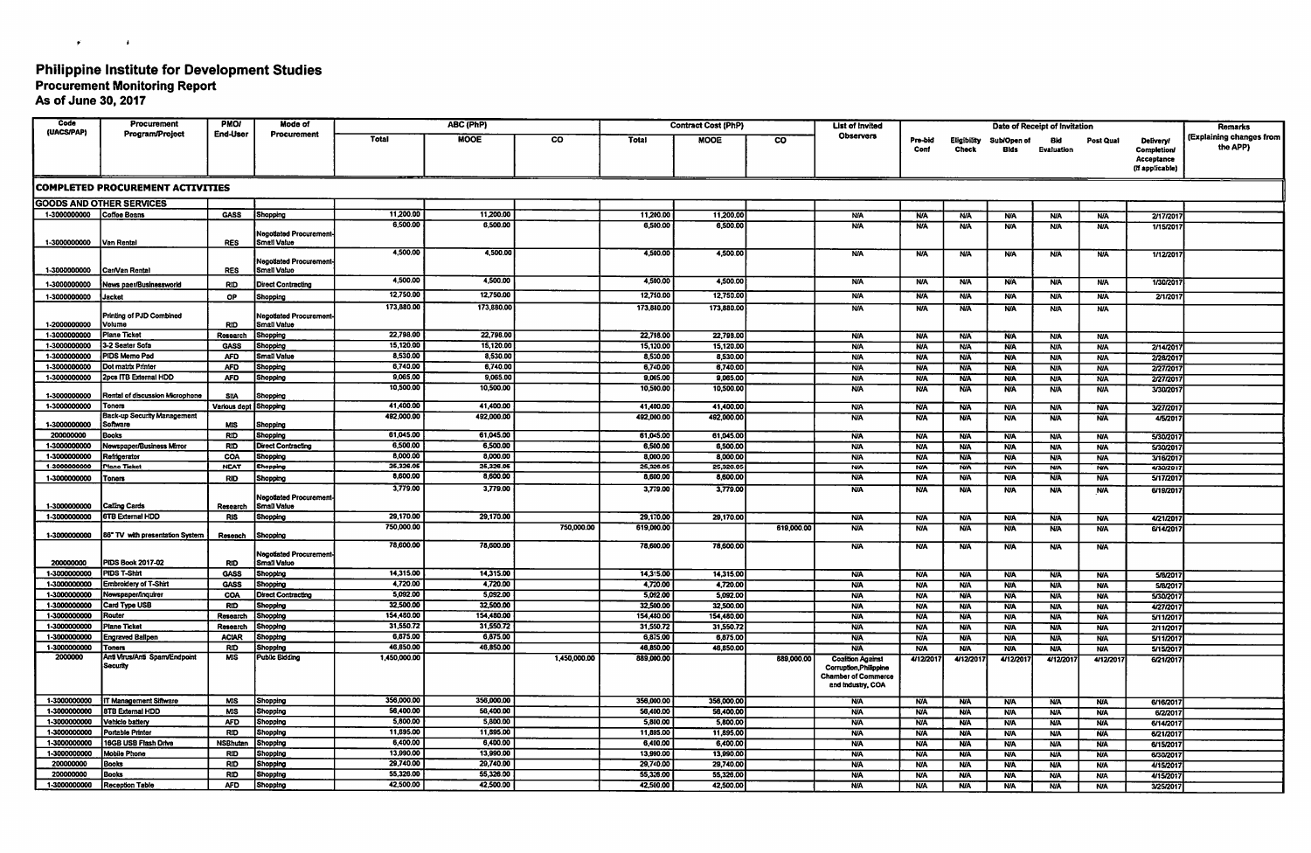## Philippine Institute for Development Studies

Procurement Monitoring Report As of June 30, 2017

 $\mathcal{L}^{\text{max}}$  and  $\mathcal{L}^{\text{max}}$ 

| Code                         | Procurement                              | <b>PMOI</b>                   | Mode of                                             | ABC (PhP)             |                       |              | <b>Contract Cost (PhP)</b> |                       |                | <b>List of Invited</b>                                                    |                          |                                    |                            | Date of Receipt of Invitation |                          |                                                         | Remarks                              |
|------------------------------|------------------------------------------|-------------------------------|-----------------------------------------------------|-----------------------|-----------------------|--------------|----------------------------|-----------------------|----------------|---------------------------------------------------------------------------|--------------------------|------------------------------------|----------------------------|-------------------------------|--------------------------|---------------------------------------------------------|--------------------------------------|
| (UACS/PAP)                   | <b>Program/Project</b>                   | End-User                      | Procurement                                         | <b>Total</b>          | <b>MOOE</b>           | <b>CO</b>    | <b>Total</b>               | <b>MOOE</b>           | $\overline{c}$ | Observers<br>Pro-bid<br>Conf                                              |                          | <b>Eligibility</b><br><b>Check</b> | Sub/Open of<br><b>Bids</b> | Bid<br>Evaluation             | Post Qual                | Delivery<br>Completion<br>Acceptance<br>(if applicable) | (Explaining changes from<br>the APP) |
|                              | <b>COMPLETED PROCUREMENT ACTIVITIES</b>  |                               |                                                     |                       |                       |              |                            |                       |                |                                                                           |                          |                                    |                            |                               |                          |                                                         |                                      |
|                              | <b>GOODS AND OTHER SERVICES</b>          |                               |                                                     |                       |                       |              |                            |                       |                |                                                                           |                          |                                    |                            |                               |                          |                                                         |                                      |
| 1-3000000000 Coffee Beans    |                                          | <b>GASS</b>                   | Shopping                                            | 11,200.00             | 11,200.00             |              | 11,200.00                  | 11,200.00             |                | <b>N/A</b>                                                                | <b>NA</b>                | <b>N/A</b>                         | <b>N/A</b>                 | <b>N/A</b>                    | <b>N/A</b>               | 2/17/201                                                |                                      |
|                              |                                          |                               |                                                     | 6,500.00              | 6,500.00              |              | 6,500.00                   | 6,500.00              |                | <b>N/A</b>                                                                | <b>N/A</b>               | <b>NA</b>                          | <b>N/A</b>                 | <b>N/A</b>                    | <b>N/A</b>               | 1/15/201                                                |                                      |
| 1-3000000000                 | <b>Van Rental</b>                        | <b>RES</b>                    | <b>Negotiated Procurement</b><br><b>Smatl Value</b> |                       |                       |              |                            |                       |                |                                                                           |                          |                                    |                            |                               |                          |                                                         |                                      |
| 1-3000000000                 | Car/Van Rental                           | <b>RES</b>                    | Negotiated Procurement<br>Small Value               | 4,500.00              | 4,500.00              |              | 4,500.00                   | 4,500.00              |                | <b>N/A</b>                                                                | <b>N/A</b>               | <b>N/A</b>                         | <b>N/A</b>                 | <b>N/A</b>                    | <b>N/A</b>               | 1/12/201                                                |                                      |
| 1-3000000000                 | News paer/Businessworld                  | <b>RID</b>                    | <b>Direct Contracting</b>                           | 4,500.00              | 4.500.00              |              | 4.500.00                   | 4,500.00              |                | <b>N/A</b>                                                                | <b>N/A</b>               | <b>N/A</b>                         | <b>N/A</b>                 | <b>N/A</b>                    | <b>N/A</b>               | 1/30/201                                                |                                      |
| 1-3000000000                 | <b>Jacket</b>                            | <b>OP</b>                     | Shopping                                            | 12,750.00             | 12,750.00             |              | 12,750.00                  | 12,750.00             |                | <b>N/A</b>                                                                | <b>N/A</b>               | <b>N/A</b>                         | <b>N/A</b>                 | <b>N/A</b>                    | <b>N/A</b>               | 21/201                                                  |                                      |
| 1-2000000000                 | Printing of PJD Combined<br>Volume       | <b>RID</b>                    | Negotiated Procurement<br>Small Value               | 173,880.00            | 173,880.00            |              | 173,880.00                 | 173,880.00            |                | <b>N/A</b>                                                                | <b>N/A</b>               | <b>N/A</b>                         | N/A                        | <b>N/A</b>                    | <b>N/A</b>               |                                                         |                                      |
| 1-3000000000                 | Plane Ticket                             | Research                      | Shopping                                            | 22,798.00             | 22.798.00             |              | 22,798.00                  | 22,798.00             |                | <b>N/A</b>                                                                | <b>NJA</b>               | <b>N/A</b>                         | <b>N/A</b>                 | <b>NIA</b>                    | <b>N/A</b>               |                                                         |                                      |
| 1-3000000000                 | 3-2 Seater Sofa                          | <b>GASS</b>                   | Shopping                                            | 15,120.00             | 15,120.00             |              | 15,120.00                  | 15,120.00             |                | <b>N/A</b>                                                                | <b>N/A</b>               | <b>N/A</b>                         | <b>N/A</b>                 | <b>N/A</b>                    | <b>N/A</b>               | 2/14/201                                                |                                      |
| 1-3000000000<br>1-3000000000 | PIDS Memo Pad<br>Dot matrix Printer      | <b>AFD</b>                    | Small Value                                         | 8,530.00<br>6,740.00  | 8,530.00<br>6.740.00  |              | 8,530.00                   | 8,530.00              |                | <b>N/A</b>                                                                | <b>N/A</b>               | <b>N/A</b>                         | <b>N/A</b>                 | <b>N/A</b>                    | <b>N/A</b>               | 2/28/201                                                |                                      |
| 1-3000000000                 | 2pcs ITB External HDD                    | <b>AFD</b><br><b>AFD</b>      | Shopping<br>Shopping                                | 9,065.00              | 9.065.00              |              | 6,740.00<br>9,065.00       | 6,740.00<br>9,065.00  |                | <b>N/A</b>                                                                | <b>N/A</b>               | <b>N/A</b>                         | <b>N/A</b>                 | <b>N/A</b>                    | <b>N/A</b>               | 2/27/201                                                |                                      |
|                              |                                          |                               |                                                     | 10,500.00             | 10,500.00             |              | 10.500.00                  | 10,500.00             |                | <b>N/A</b><br><b>N/A</b>                                                  | <b>N/A</b><br><b>N/A</b> | <b>N/A</b><br><b>NA</b>            | <b>NIA</b><br><b>N/A</b>   | <b>N/A</b><br><b>N/A</b>      | <b>N/A</b><br><b>N/A</b> | 2/27/201<br>3/30/201                                    |                                      |
| 1-3000000000                 | Rental of discussion Microphone          | <b>SIIA</b>                   | Shopping                                            |                       |                       |              |                            |                       |                |                                                                           |                          |                                    |                            |                               |                          |                                                         |                                      |
| 1-3000000000                 | Toners                                   | Various dept Shopping         |                                                     | 41,400.00             | 41,400.00             |              | 41,400.00                  | 41,400.00             |                | <b>NA</b>                                                                 | <b>N/A</b>               | N/A                                | <b>N/A</b>                 | <b>N/A</b>                    | <b>N/A</b>               | 3/27/201                                                |                                      |
| 1-3000000000                 | Back-up Security Management<br>Software  | <b>MIS</b>                    | Shopping                                            | 492,000.00            | 492,000.00            |              | 492,000.00                 | 492,000.00            |                | <b>N/A</b>                                                                | NΆ                       | <b>NA</b>                          | <b>N/A</b>                 | <b>N/A</b>                    | <b>N/A</b>               | 4/5/201                                                 |                                      |
| 200000000                    | Books                                    | <b>RID</b>                    | Shopping                                            | 61,045.00             | 61.045.00             |              | 61.045.00                  | 61,045.00             |                | <b>NA</b>                                                                 | <b>N/A</b>               | <b>N/A</b>                         | <b>N/A</b>                 | <b>N/A</b>                    | <b>N/A</b>               | 5/30/2017                                               |                                      |
| 1-3000000000                 | Newspaper/Business Mirror                | <b>RID</b>                    | <b>Direct Contracting</b>                           | 6,500.00              | 6,500.00              |              | 6,500.00                   | 6,500.00              |                | <b>N/A</b>                                                                | <b>N/A</b>               | <b>N/A</b>                         | <b>N/A</b>                 | <b>N/A</b>                    | <b>N/A</b>               | 5/30/201                                                |                                      |
| 1-3000000000                 | Refrigerator                             | COA                           | Shopping                                            | 8,000.00              | 8,000.00              |              | 8,000.00                   | 8,000.00              |                | <b>N/A</b>                                                                | <b>N/A</b>               | <b>N/A</b>                         | <b>N/A</b>                 | <b>N/A</b>                    | <b>N/A</b>               | 3/16/201                                                |                                      |
| 1-3000000000                 | <b>Plane Ticket</b>                      | <b>NEAT</b>                   | Shopping                                            | 25,326.05             | 25,326.05             |              | 25.326.05                  | 25,326.05             |                | <b>N/A</b>                                                                | <b>N/A</b>               | <b>N/A</b>                         | <b>N/A</b>                 | <b>N/A</b>                    | <b>NA</b>                | 4/30/201                                                |                                      |
| 1-3000000000                 | <b>Toners</b>                            | <b>RID</b>                    | Shopping                                            | 8,600.00<br>3,779.00  | 8,600.00              |              | 8,600.00                   | 8,600.00              |                | <b>N/A</b>                                                                | <b>N/A</b>               | <b>NA</b>                          | <b>N/A</b>                 | <b>N/A</b>                    | <b>N/A</b>               | 5/17/2017                                               |                                      |
| 1-3000000000                 | Calling Cards                            | Research                      | <b>Negotiated Procurement</b><br>Small Value        |                       | 3,779.00              |              | 3,779.00                   | 3,779.00              |                | <b>NA</b>                                                                 | <b>N/A</b>               | <b>N/A</b>                         | <b>N/A</b>                 | <b>N/A</b>                    | <b>N/A</b>               | 6/19/2017                                               |                                      |
| 1-3000000000                 | 6TB External HDD                         | <b>RIS</b>                    | Shopping                                            | 29,170.00             | 29,170.00             |              | 29,170.00                  | 29,170.00             |                | <b>N/A</b>                                                                | <b>N/A</b>               | <b>N/A</b>                         | <b>N/A</b>                 | <b>N/A</b>                    | <b>N/A</b>               | 4/21/201                                                |                                      |
| 1-3000000000                 | 86" TV with presentation System          | Reseach                       | Shopping                                            | 750,000.00            |                       | 750,000.00   | 619,000.00                 |                       | 619,000.00     | <b>NA</b>                                                                 | <b>NIA</b>               | <b>N/A</b>                         | <b>N/A</b>                 | <b>N/A</b>                    | <b>N/A</b>               | 6/14/201                                                |                                      |
|                              |                                          |                               | <b>Negotiated Procurement</b>                       | 78,600.00             | 78,600.00             |              | 78,600.00                  | 78,600.00             |                | <b>N/A</b>                                                                | <b>N/A</b>               | <b>N/A</b>                         | <b>N/A</b>                 | <b>N/A</b>                    | <b>N/A</b>               |                                                         |                                      |
| 200000000                    | PIDS Book 2017-02<br>PIDS T-Shirt        | <b>RID</b>                    | Small Valuo                                         |                       |                       |              |                            |                       |                |                                                                           |                          |                                    |                            |                               |                          |                                                         |                                      |
| 1-3000000000<br>1-3000000000 | <b>Embroidery of T-Shirt</b>             | <b>GASS</b><br><b>GASS</b>    | Shopping<br>Shopping                                | 14,315.00<br>4,720.00 | 14,315.00<br>4,720.00 |              | 14,315.00<br>4,720.00      | 14.315.00<br>4,720.00 |                | <b>N/A</b><br><b>NA</b>                                                   | <b>N/A</b><br><b>N/A</b> | <b>N/A</b><br><b>N/A</b>           | <b>N/A</b>                 | <b>N/A</b>                    | <b>NA</b>                | 5/8/201<br>5/8/201                                      |                                      |
| 1-3000000000                 | Newspaper/Inquirer                       | COA                           | <b>Direct Contracting</b>                           | 5,092.00              | 5.092.00              |              | 5.092.00                   | 5,092.00              |                | <b>N/A</b>                                                                | <b>N/A</b>               | <b>N/A</b>                         | <b>N/A</b><br><b>N/A</b>   | <b>N/A</b><br><b>N/A</b>      | <b>N/A</b><br><b>N/A</b> | 5/30/201                                                |                                      |
| 1-3000000000                 | Card Type USB                            | <b>RID</b>                    | Shopping                                            | 32,500.00             | 32,500.00             |              | 32,500.00                  | 32,500.00             |                | <b>NA</b>                                                                 | <b>N/A</b>               | <b>N/A</b>                         | <b>NA</b>                  | <b>N/A</b>                    | <b>N/A</b>               | 4/27/201                                                |                                      |
| 1-3000000000                 | Router                                   | Research                      | Shopping                                            | 154,480.00            | 154,480.00            |              | 154,480.00                 | 154,480.00            |                | <b>N/A</b>                                                                | <b>N/A</b>               | <b>N/A</b>                         | <b>NA</b>                  | <b>N/A</b>                    | <b>N/A</b>               | 5/11/201                                                |                                      |
| 1-3000000000                 | <b>Plane Ticket</b>                      | Research                      | Shopping                                            | 31,550.72             | 31,550.72             |              | 31,550.72                  | 31,550.72             |                | <b>N/A</b>                                                                | <b>N/A</b>               | <b>N/A</b>                         | <b>N/A</b>                 | <b>N/A</b>                    | <b>N/A</b>               | 2/11/201                                                |                                      |
| 1-3000000000<br>1-3000000000 | Engraved Ballpen<br>Toners               | <b>ACIAR</b>                  | Shopping                                            | 6,875.00<br>46,850.00 | 6,875.00<br>46,850.00 |              | 6,875.00<br>46,850.00      | 6,875.00              |                | <b>N/A</b>                                                                | <b>N/A</b>               | <b>N/A</b>                         | <b>N/A</b>                 | <b>N/A</b>                    | <b>N/A</b>               | 5/11/2017                                               |                                      |
| 2000000                      | Anti Virus/Anti Spam/Endpoint            | <b>RID</b><br><b>MIS</b>      | <b>Shopping</b><br>Public Bidding                   | 1,450,000.00          |                       | 1,450,000.00 | 889,000.00                 | 46,850.00             | 889,000.00     | <b>N/A</b><br><b>Coalition Against</b>                                    | <b>N/A</b><br>4/12/201   | <b>N/A</b><br>4/12/201             | <b>N/A</b><br>4/12/201     | <b>N/A</b><br>4/12/201        | <b>N/A</b><br>4/12/201   | 5/15/201                                                |                                      |
|                              | Security                                 |                               |                                                     |                       |                       |              |                            |                       |                | Corruption, Philippine<br><b>Chamber of Commerce</b><br>and Industry, COA |                          |                                    |                            |                               |                          | 6/21/2011                                               |                                      |
| 1-3000000000                 | IT Management Siftware                   | MIS                           | Shopping                                            | 356,000.00            | 356,000.00            |              | 356,000.00                 | 356,000.00            |                | <b>N/A</b>                                                                | <b>N/A</b>               | <b>N/A</b>                         | <b>N/A</b>                 | <b>N/A</b>                    | <b>N/A</b>               | 6/16/2017                                               |                                      |
| 1-3000000000                 | 8TB External HDD                         | <b>MIS</b>                    | Shopping                                            | 56,400.00             | 56,400.00             |              | 56,400.00                  | 56,400.00             |                | <b>N/A</b>                                                                | <b>N/A</b>               | <b>N/A</b>                         | <b>N/A</b>                 | <b>N/A</b>                    | <b>N/A</b>               | 6/2/2017                                                |                                      |
| 1-3000000000                 | Vehiclo battery                          | <b>AFD</b>                    | <b>Shopping</b>                                     | 5,800.00<br>11,895.00 | 5,800.00              |              | 5,800.00                   | 5,800.00              |                | <b>N/A</b>                                                                | <b>N/A</b>               | <b>N/A</b>                         | <b>N/A</b>                 | <b>N/A</b>                    | <b>N/A</b>               | 6/14/2017                                               |                                      |
| 1-3000000000<br>1-3000000000 | Portable Printer<br>16GB USB Flash Drive | <b>RID</b><br><b>NSBhutan</b> | Shopping<br>Shopping                                | 6,400.00              | 11,895.00<br>6,400.00 |              | 11,895.00<br>6.400.00      | 11,895.00<br>6,400.00 |                | <b>N/A</b><br><b>N/A</b>                                                  | <b>N/A</b>               | <b>NA</b>                          | <b>N/A</b>                 | <b>N/A</b>                    | <b>N/A</b>               | 6/21/2017                                               |                                      |
| 1-3000000000                 | Mobile Phone                             | <b>RID</b>                    | Shopping                                            | 13,990.00             | 13,990.00             |              | 13,990.00                  | 13,990.00             |                | <b>N/A</b>                                                                | <b>N/A</b><br><b>N/A</b> | <b>NA</b><br><b>N/A</b>            | ΝA.<br><b>N/A</b>          | <b>N/A</b><br><b>N/A</b>      | <b>N/A</b><br><b>N/A</b> | 6/15/2017<br>6/30/2017                                  |                                      |
| 200000000                    | Books                                    | <b>RID</b>                    | Shopping                                            | 29,740.00             | 29.740.00             |              | 29,740.00                  | 29,740.00             |                | <b>NA</b>                                                                 | <b>NA</b>                | NA                                 | <b>N/A</b>                 | <b>N/A</b>                    | <b>N/A</b>               | 4/15/2017                                               |                                      |
| 200000000                    | Books                                    | <b>RID</b>                    | Shopping                                            | 55,326.00             | 55,326.00             |              | 55.326.00                  | 55,326.00             |                | <b>N/A</b>                                                                | <b>N/A</b>               | <b>N/A</b>                         | <b>NIA</b>                 | <b>N/A</b>                    | <b>N/A</b>               | 4/15/201                                                |                                      |
| 1-3000000000                 | Reception Table                          | AFD.                          | Shopping                                            | 42,500.00             | 42,500.00             |              | 42,500.00                  | 42,500.00             |                | <b>N/A</b>                                                                | <b>N/A</b>               | <b>N/A</b>                         | <b>N/A</b>                 | <b>N/A</b>                    | <b>N/A</b>               | 3/25/2017                                               |                                      |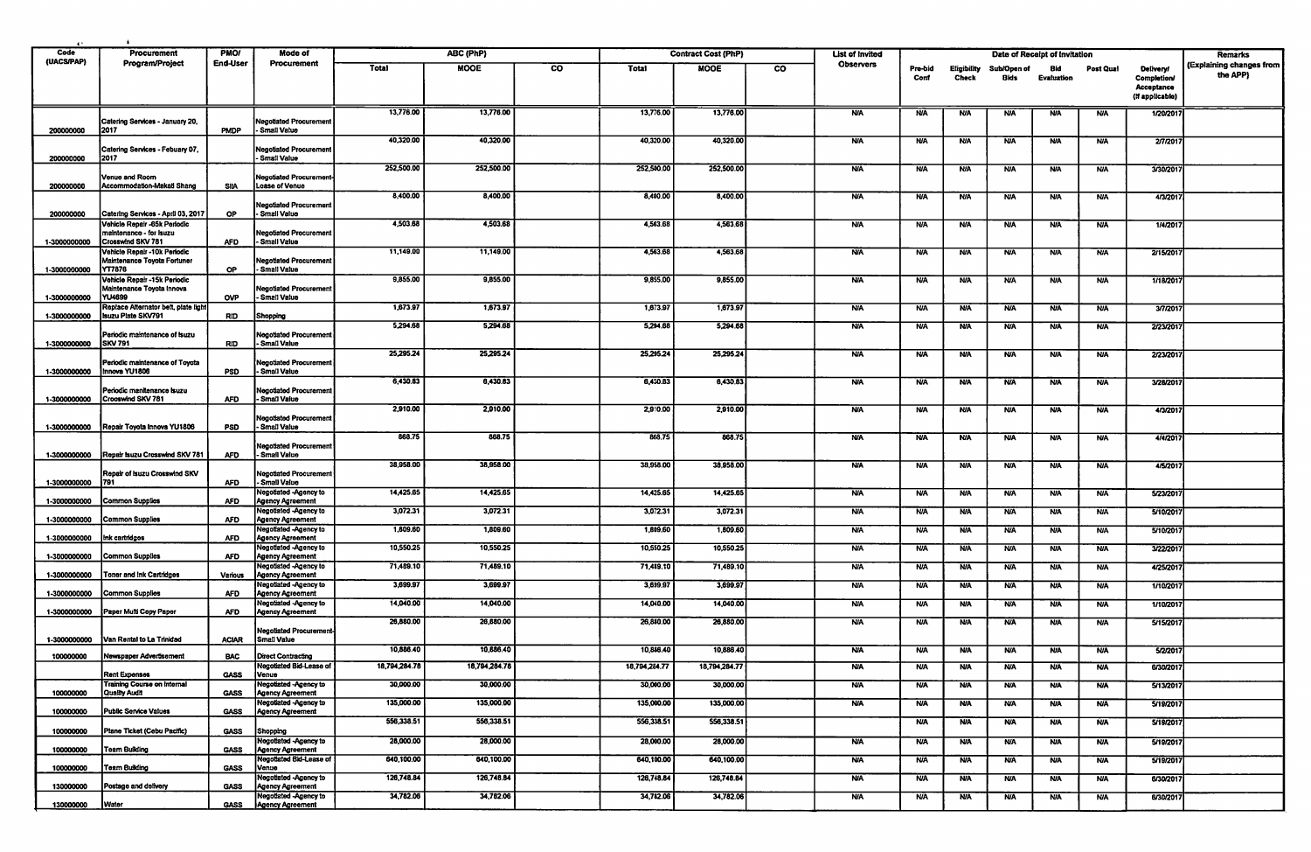| $\cdots$           |                                                                       |                         |                                                         |               |               |    |                  |                            |                        |                        |                 |                             |                     |                               |            |                                                                         |                                      |
|--------------------|-----------------------------------------------------------------------|-------------------------|---------------------------------------------------------|---------------|---------------|----|------------------|----------------------------|------------------------|------------------------|-----------------|-----------------------------|---------------------|-------------------------------|------------|-------------------------------------------------------------------------|--------------------------------------|
| Code<br>(UACS/PAP) | Procurement<br><b>Program/Project</b>                                 | <b>PMO!</b><br>End-User | Mode of<br>Procurement                                  |               | ABC (PhP)     |    |                  | <b>Contract Cost (PhP)</b> |                        | <b>List of Invited</b> |                 |                             |                     | Date of Receipt of Invitation |            |                                                                         | Remarks                              |
|                    |                                                                       |                         |                                                         | Total         | <b>MOOE</b>   | CO | Total            | <b>MOOE</b>                | $\overline{\text{co}}$ | <b>Observers</b>       | Pre-bid<br>Conf | Eligibility<br><b>Check</b> | Sub/Open of<br>Bids | Bid<br><b>Evaluation</b>      | Post Qual  | <b>Delivery!</b><br><b>Completion/</b><br>Acceptance<br>(If applicable) | (Explaining changes from<br>the APP) |
|                    |                                                                       |                         |                                                         | 13,776.00     | 13,776.00     |    | 13,776.00        | 13,776.00                  |                        | <b>N/A</b>             | <b>N/A</b>      | N/A                         | <b>N/A</b>          | <b>NA</b>                     | <b>N/A</b> | 1/20/201                                                                |                                      |
| 200000000          | Catering Services - January 20,<br>2017                               | <b>PMDP</b>             | <b>Vegotiated Procurement</b><br>Small Value            |               |               |    |                  |                            |                        |                        |                 |                             |                     |                               |            |                                                                         |                                      |
| 200000000          | Catering Services - Febuary 07,<br>2017                               |                         | <b>Vegotiated Procurement</b><br>Small Value            | 40,320.00     | 40,320.00     |    | 40,320.00        | 40,320.00                  |                        | <b>N/A</b>             | <b>NJA</b>      | <b>N/A</b>                  | <b>N/A</b>          | <b>N/A</b>                    | <b>N/A</b> | 2/7/201                                                                 |                                      |
|                    |                                                                       |                         |                                                         | 252,500.00    | 252,500.00    |    | 252,500.00       | 252,500.00                 |                        | <b>NA</b>              | <b>N/A</b>      | <b>N/A</b>                  | <b>N/A</b>          | <b>N/A</b>                    | <b>N/A</b> | 3/30/2017                                                               |                                      |
| 200000000          | Venue and Room<br>Accommodation-Makati Shang                          | <b>SIIA</b>             | <b>Negotiated Procurement</b><br>Loase of Venue         |               |               |    |                  |                            |                        |                        |                 |                             |                     |                               |            |                                                                         |                                      |
| 200000000          | Catering Services - April 03, 2017                                    | OP.                     | <b>Negotiated Procurement</b><br>Small Value            | 8,400.00      | 8,400.00      |    | 8,400.00         | 8,400.00                   |                        | <b>N/A</b>             | <b>N/A</b>      | <b>N/A</b>                  | <b>NIA</b>          | <b>NA</b>                     | <b>N/A</b> | 4/3/201                                                                 |                                      |
|                    | Vehicle Repair -65k Periodic                                          |                         |                                                         | 4,503.68      | 4,503.68      |    | 4,563.68         | 4,563.68                   |                        | <b>N/A</b>             | <b>N/A</b>      | <b>N/A</b>                  | <b>N/A</b>          | <b>N/A</b>                    | <b>N/A</b> | 1/4/201                                                                 |                                      |
| 1-3000000000       | maintenance - for Isuzu<br>Crosswind SKV 781                          | <b>AFD</b>              | <b>Negotiated Procurement</b><br>- Small Value          |               |               |    |                  |                            |                        |                        |                 |                             |                     |                               |            |                                                                         |                                      |
| 1-3000000000       | Vehicle Repair -10k Periodic<br>Maintenance Toyota Fortuner<br>YT7876 | <b>OP</b>               | <b>Negotiated Procurement</b><br>Small Value            | 11,149.00     | 11,149.00     |    | 4,563.68         | 4,563.68                   |                        | <b>N/A</b>             | <b>N/A</b>      | <b>N/A</b>                  | <b>N/A</b>          | <b>N/A</b>                    | <b>N/A</b> | 2/15/201                                                                |                                      |
|                    | Vehicle Repair -15k Periodic                                          |                         |                                                         | 9,855.00      | 9,855.00      |    | 9,855.00         | 9,855.00                   |                        | <b>N/A</b>             | <b>N/A</b>      | <b>N/A</b>                  | <b>NJA</b>          | <b>N/A</b>                    | <b>N/A</b> | 1/18/201                                                                |                                      |
| 1-3000000000       | Maintenance Toyota Innova<br>YU4699                                   | <b>OVP</b>              | <b>Negotiated Procurement</b><br>- Small Value          |               |               |    |                  |                            |                        |                        |                 |                             |                     |                               |            |                                                                         |                                      |
| 1-3000000000       | Replace Alternator belt, plate light<br><b>Isuzu Plate SKV791</b>     | RID                     | Shopping                                                | 1,673.97      | 1,673.97      |    | 1,673.97         | 1,673.97                   |                        | <b>N/A</b>             | <b>NIA</b>      | <b>N/A</b>                  | <b>NJA</b>          | <b>N/A</b>                    | <b>N/A</b> | 3/7/2017                                                                |                                      |
|                    | Periodic maintenance of Isuzu                                         |                         |                                                         | 5,294.68      | 5,294.68      |    | 5,294.68         | 5,294.68                   |                        | <b>NA</b>              | <b>N/A</b>      | <b>N/A</b>                  | <b>N/A</b>          | <b>N/A</b>                    | <b>N/A</b> | 2/23/201                                                                |                                      |
| 1-3000000000       | <b>SKV 791</b>                                                        | <b>RID</b>              | <b>Negotiated Procurement</b><br><b>Small Value</b>     | 25,295.24     | 25,295.24     |    | 25,295.24        | 25,295.24                  |                        | <b>N/A</b>             | <b>N/A</b>      |                             |                     |                               |            | 2/23/201                                                                |                                      |
| 1-3000000000       | Periodic maintenance of Toyota<br>Innova YU1808                       | PSD                     | <b>Negotiated Procurement</b><br>Small Value            |               |               |    |                  |                            |                        |                        |                 | <b>N/A</b>                  | <b>N/A</b>          | <b>N/A</b>                    | <b>N/A</b> |                                                                         |                                      |
|                    | Periodic manitenance Isuzu                                            |                         | <b>Negotiated Procurement</b>                           | 6,430.83      | 6,430.83      |    | 6,430.83         | 6,430.83                   |                        | <b>N/A</b>             | <b>N/A</b>      | <b>N/A</b>                  | <b>N/A</b>          | <b>NA</b>                     | <b>N/A</b> | 3/28/2017                                                               |                                      |
| 1-3000000000       | Crooswind SKV 781                                                     | <b>AFD</b>              | Small Value                                             | 2,910.00      | 2,910.00      |    | 2,910.00         | 2,910.00                   |                        | <b>N/A</b>             | <b>N/A</b>      | <b>N/A</b>                  | <b>N/A</b>          | <b>N/A</b>                    | <b>N/A</b> | 4/3/201                                                                 |                                      |
| 1-3000000000       | Repair Toyota Innova YU1806                                           | <b>PSD</b>              | <b>Negotiated Procurement</b><br>Small Value            |               |               |    |                  |                            |                        |                        |                 |                             |                     |                               |            |                                                                         |                                      |
| 1-3000000000       | Repair Isuzu Crosswind SKV 781                                        | <b>AFD</b>              | <b>Negotiated Procurement</b><br>- Small Value          | 868.75        | 868.75        |    | 868.75           | 868.75                     |                        | <b>N/A</b>             | <b>N/A</b>      | N/A                         | <b>N/A</b>          | <b>N/A</b>                    | <b>N/A</b> | 4/4/2017                                                                |                                      |
| 1-3000000000       | Repair of Isuzu Crosswind SKV<br>1791                                 | <b>AFD</b>              | <b>Negotiated Procurement</b><br>Small Value            | 38,958.00     | 38,958.00     |    | 38,958.00        | 38,958.00                  |                        | <b>N/A</b>             | <b>N/A</b>      | N/A                         | <b>N/A</b>          | <b>N/A</b>                    | <b>N/A</b> | 4/5/2017                                                                |                                      |
| 1-3000000000       | <b>Common Supplies</b>                                                | <b>AFD</b>              | <b>Negotiated -Agency to</b><br><b>Agency Agreement</b> | 14,425.65     | 14,425.65     |    | 14,425.65        | 14,425.65                  |                        | <b>N/A</b>             | <b>NA</b>       | <b>N/A</b>                  | <b>N/A</b>          | <b>N/A</b>                    | <b>N/A</b> | 5/23/201                                                                |                                      |
| 1-3000000000       | Common Supplies                                                       | <b>AFD</b>              | <b>Negotiated -Agency to</b><br><b>Agency Agreement</b> | 3,072.31      | 3,072.31      |    | 3,072.31         | 3,072.31                   |                        | <b>N/A</b>             | <b>N/A</b>      | N/A                         | <b>N/A</b>          | <b>N/A</b>                    | <b>N/A</b> | 5/10/201                                                                |                                      |
| 1-3000000000       | Ink cartridges                                                        | <b>AFD</b>              | <b>Negotiated -Agency to</b><br>Agency Agreement        | 1,809.60      | 1,809.60      |    | 1,809.60         | 1,809.60                   |                        | <b>NA</b>              | <b>N/A</b>      | <b>N/A</b>                  | <b>N/A</b>          | <b>N/A</b>                    | <b>N/A</b> | 5/10/201                                                                |                                      |
|                    |                                                                       |                         | Negotiated -Agency to                                   | 10,550.25     | 10,550.25     |    | 10,550.25        | 10,550.25                  |                        | <b>N/A</b>             | <b>N/A</b>      | <b>N/A</b>                  | <b>N/A</b>          | <b>N/A</b>                    | <b>N/A</b> | 3/22/201                                                                |                                      |
| 1-3000000000       | Common Supplies                                                       | <b>AFD</b>              | Agency Agreement<br>Negotiated -Agency to               | 71,489.10     | 71,489.10     |    | 71,489.10        | 71,489.10                  |                        | <b>N/A</b>             | <b>N/A</b>      | <b>N/A</b>                  | <b>N/A</b>          | <b>N/A</b>                    | <b>N/A</b> | 4/25/2017                                                               |                                      |
| 1-3000000000       | <b>Toner and Ink Cartridges</b>                                       | Various                 | Agoncy Agreement                                        |               |               |    |                  |                            |                        |                        |                 |                             |                     |                               |            |                                                                         |                                      |
| 1-3000000000       | Common Supplies                                                       | <b>AFD</b>              | <b>Negotiated -Agency to</b><br>Agency Agreement        | 3,699.97      | 3,699.97      |    | 3,699.97         | 3,699.97                   |                        | <b>N/A</b>             | <b>N/A</b>      | <b>N/A</b>                  | <b>N/A</b>          | <b>NA</b>                     | <b>N/A</b> | 1/10/201                                                                |                                      |
| 1-3000000000       | Paper Multi Copy Paper                                                | <b>AFD</b>              | Negotiated -Agency to<br>Agency Agreement               | 14,040.00     | 14,040.00     |    | 14,040.00        | 14,040.00                  |                        | <b>N/A</b>             | <b>N/A</b>      | <b>N/A</b>                  | <b>N/A</b>          | <b>NIA</b>                    | <b>N/A</b> | 1/10/2017                                                               |                                      |
|                    |                                                                       |                         | <b>Negotiated Procurement</b>                           | 26,880.00     | 26,880.00     |    | 26,880.00        | 26,880.00                  |                        | <b>N/A</b>             | <b>N/A</b>      | <b>N/A</b>                  | <b>N/A</b>          | NIA                           | <b>N/A</b> | 5/15/201                                                                |                                      |
| 1-3000000000       | Van Rental to La Trinidad                                             | <b>ACIAR</b>            | <b>Smail Value</b>                                      |               |               |    |                  |                            |                        |                        |                 |                             |                     |                               |            |                                                                         |                                      |
| 100000000          | Newspaper Advertisement                                               | <b>BAC</b>              | Direct Contracting                                      | 10,886.40     | 10,886.40     |    | 10,886.40        | 10,886.40                  |                        | <b>N/A</b>             | <b>N/A</b>      | <b>N/A</b>                  | <b>N/A</b>          | <b>N/A</b>                    | <b>N/A</b> | 5/2/2017                                                                |                                      |
|                    | Rent Expenses                                                         | <b>GASS</b>             | Venue                                                   | 18,794,284.78 | 18,794,284.78 |    | 16, 194, 284. 77 | 18,794,284.77              |                        |                        | NA              |                             | w                   | rua                           | NW         | 6/30/201                                                                |                                      |
| 100000000          | <b>Training Course on Internal</b><br>Quality Audit                   | <b>GASS</b>             | <b>Negotiated -Agency to</b><br><b>Agency Agreement</b> | 30,000.00     | 30,000.00     |    | 30,000.00        | 30,000.00                  |                        | <b>N/A</b>             | <b>N/A</b>      | <b>N/A</b>                  | <b>N/A</b>          | <b>N/A</b>                    | <b>N/A</b> | 5/13/2017                                                               |                                      |
| 100000000          | Public Service Values                                                 | <b>GASS</b>             | <b>Negotiated -Agency to</b><br>Agency Agreement        | 135,000.00    | 135,000.00    |    | 135,000.00       | 135,000.00                 |                        | <b>N/A</b>             | <b>N/A</b>      | <b>N/A</b>                  | <b>N/A</b>          | <b>N/A</b>                    | <b>N/A</b> | 5/19/2017                                                               |                                      |
| 100000000          | Plane Ticket (Cebu Pacific)                                           | <b>GASS</b>             | Shopping                                                | 556,338.51    | 556,338.51    |    | 556,338.51       | 556,338.51                 |                        |                        | <b>N/A</b>      | <b>N/A</b>                  | <b>N/A</b>          | <b>N/A</b>                    | <b>N/A</b> | 5/19/2017                                                               |                                      |
| 100000000          | <b>Team Building</b>                                                  | <b>GASS</b>             | <b>Negotiated -Agency to</b><br>Agency Agreement        | 28,000.00     | 28,000.00     |    | 28,000.00        | 28,000.00                  |                        | <b>N/A</b>             | <b>N/A</b>      | <b>N/A</b>                  | <b>N/A</b>          | <b>N/A</b>                    | <b>N/A</b> | 5/19/2017                                                               |                                      |
| 100000000          | <b>Team Building</b>                                                  | <b>GASS</b>             | Negotiated Bid-Lease of<br>Venue                        | 640,100.00    | 640,100.00    |    | 640,100.00       | 640,100.00                 |                        | <b>N/A</b>             | <b>N/A</b>      | <b>NA</b>                   | <b>N/A</b>          | <b>N/A</b>                    | <b>N/A</b> | 5/19/2017                                                               |                                      |
| 130000000          | Postage and delivery                                                  | <b>GASS</b>             | Negotiated -Agency to<br>Agency Agreement               | 126,748.84    | 126,748.84    |    | 126,748.84       | 126,748.84                 |                        | <b>N/A</b>             | <b>N/A</b>      | <b>N/A</b>                  | <b>N/A</b>          | <b>N/A</b>                    | <b>N/A</b> | 6/30/2017                                                               |                                      |
|                    |                                                                       |                         | <b>Negotiated -Agency to</b>                            | 34,782.06     | 34,782.06     |    | 34,782.06        | 34,782.06                  |                        | <b>N/A</b>             | <b>NA</b>       | <b>N/A</b>                  | <b>N/A</b>          | <b>N/A</b>                    | <b>N/A</b> | 6/30/2017                                                               |                                      |
| 130000000          | <b>Water</b>                                                          | <b>GASS</b>             | Agency Agreement                                        |               |               |    |                  |                            |                        |                        |                 |                             |                     |                               |            |                                                                         |                                      |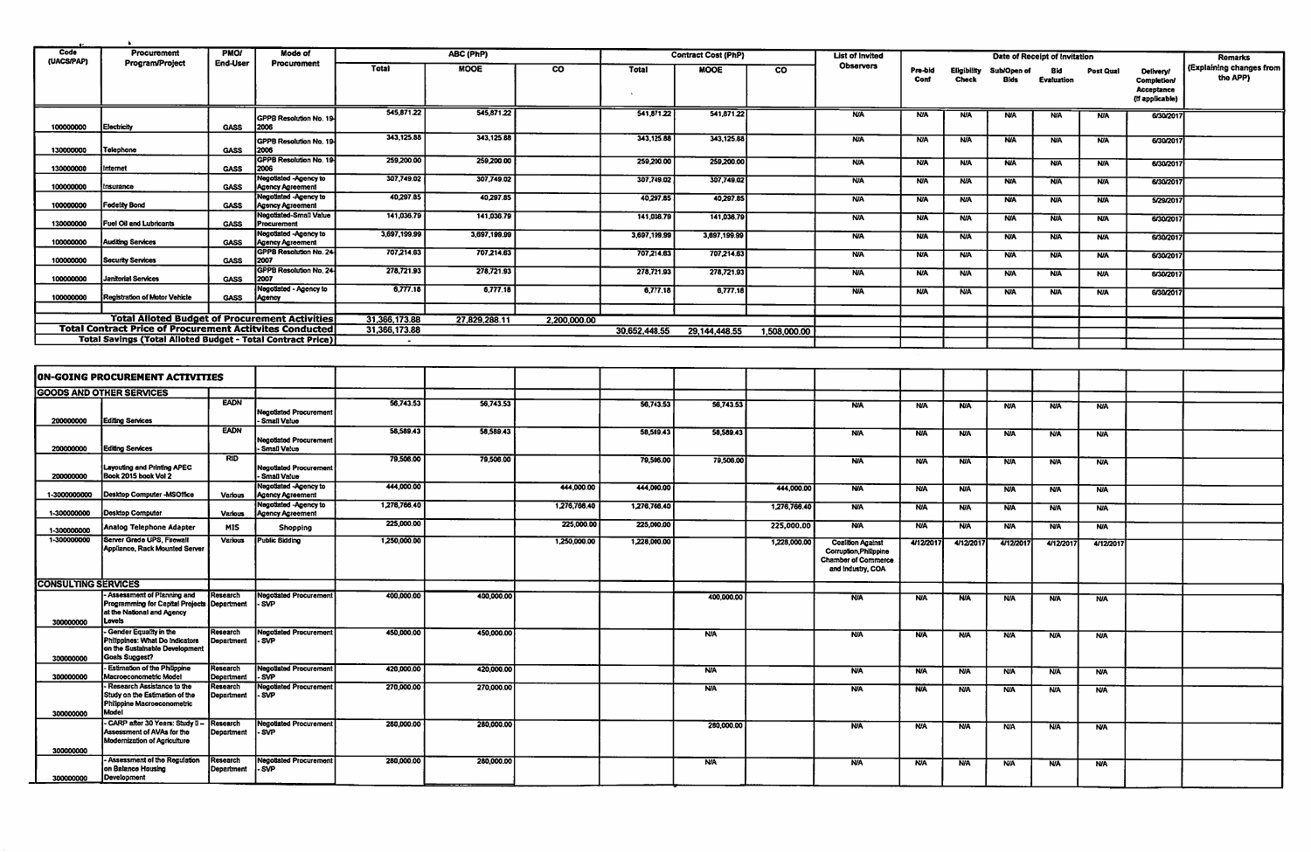| Code                       | Procurement                                                                                                         | <b>PMOI</b>                  | <b>Mode of</b>                                                                          | ABC (PhP)               |                         |              |                         | <b>Contract Cost (PhP)</b> | <b>List of Invited</b>  |                                                                                                       | Date of Receipt of Invitation |                             |                          |                          |                          | <b>Remarks</b>                                                  |                                      |
|----------------------------|---------------------------------------------------------------------------------------------------------------------|------------------------------|-----------------------------------------------------------------------------------------|-------------------------|-------------------------|--------------|-------------------------|----------------------------|-------------------------|-------------------------------------------------------------------------------------------------------|-------------------------------|-----------------------------|--------------------------|--------------------------|--------------------------|-----------------------------------------------------------------|--------------------------------------|
| (UACS/PAP)                 | <b>Program/Project</b>                                                                                              | <b>End-User</b>              | Procurement                                                                             | Total                   | <b>MOOE</b>             | co           | <b>Total</b>            | MOOE                       | $\overline{\mathbf{c}}$ | <b>Observers</b>                                                                                      | Pre-bid<br>Conf               | Eligibility<br><b>Check</b> | Sub/Open of<br>Bids      | Bid<br>Evaluation        | Post Qual                | <b>Delivery/</b><br>Completion<br>Acceptance<br>(If applicable) | (Explaining changes from<br>the APP) |
| 100000000                  | Electricity                                                                                                         | <b>GASS</b>                  | GPPB Resolution No. 19<br>2006                                                          | 545,871.22              | 545,871.22              |              | 541,871.22              | 541,871.22                 |                         | <b>N/A</b>                                                                                            | <b>NIA</b>                    | <b>N/A</b>                  | <b>N/A</b>               | <b>N/A</b>               | <b>N/A</b>               | 6/30/201                                                        |                                      |
| 130000000                  | Telephone                                                                                                           | <b>GASS</b>                  | GPPB Resolution No. 19<br>2006                                                          | 343,125.88              | 343,125.88              |              | 343,125.88              | 343,125.88                 |                         | <b>NIA</b>                                                                                            | <b>N/A</b>                    | <b>N/A</b>                  | <b>N/A</b>               | <b>N/A</b>               | <b>N/A</b>               | 6/30/201                                                        |                                      |
| 130000000                  | Internet                                                                                                            | <b>GASS</b>                  | <b>GPPB Resolution No. 19</b><br>2006                                                   | 259,200.00              | 259,200.00              |              | 259,200.00              | 259,200.00                 |                         | <b>N/A</b>                                                                                            | <b>N/A</b>                    | <b>N/A</b>                  | <b>N/A</b>               | <b>N/A</b>               | <b>N/A</b>               | 6/30/201                                                        |                                      |
| 100000000                  | Insurance                                                                                                           | <b>GASS</b>                  | <b>Negotiated -Agency to</b><br><b>Agency Agreement</b><br><b>Negotiated -Agency to</b> | 307,749.02<br>40,297.85 | 307,749.02<br>40,297.85 |              | 307,749.02              | 307,749.02                 |                         | <b>N/A</b>                                                                                            | <b>N/A</b>                    | <b>N/A</b>                  | <b>NIA</b>               | <b>N/A</b>               | <b>N/A</b>               | 6/30/201                                                        |                                      |
| 100000000                  | Fedelity Bond                                                                                                       | <b>GASS</b>                  | <b>Agency Agreement</b><br>Negotiated-Small Value                                       | 141,036.79              | 141,036.79              |              | 40,297.85<br>141,036.79 | 40,297.85<br>141,036.79    |                         | <b>N/A</b><br><b>N/A</b>                                                                              | <b>N/A</b><br><b>N/A</b>      | <b>N/A</b><br><b>N/A</b>    | <b>N/A</b><br><b>N/A</b> | <b>N/A</b><br><b>N/A</b> | <b>N/A</b><br><b>N/A</b> | 5/29/201<br>6/30/201                                            |                                      |
| 130000000                  | <b>Fuel Oil and Lubricants</b>                                                                                      | <b>GASS</b>                  | Procurement<br>Negotiated -Agency to                                                    | 3,697,199.99            | 3,697,199.99            |              | 3,697,199.99            | 3,697,199.99               |                         | <b>N/A</b>                                                                                            | <b>N/A</b>                    | <b>N/A</b>                  | <b>N/A</b>               | <b>N/A</b>               | <b>N/A</b>               | 6/30/201                                                        |                                      |
| 100000000<br>100000000     | <b>Auditing Services</b><br><b>Security Services</b>                                                                | <b>GASS</b><br><b>GASS</b>   | <b>Agency Agreement</b><br><b>GPPB Resolution No. 24</b><br>2007                        | 707,214.63              | 707,214.63              |              | 707,214.63              | 707,214.63                 |                         | <b>N/A</b>                                                                                            | <b>N/A</b>                    | <b>N/A</b>                  | <b>N/A</b>               | <b>N/A</b>               | <b>N/A</b>               | 6/30/201                                                        |                                      |
| 100000000                  | <b>Janitorial Services</b>                                                                                          | <b>GASS</b>                  | <b>GPPB Resolution No. 24</b><br>2007                                                   | 278,721.93              | 278,721.93              |              | 278,721.93              | 278,721.93                 |                         | <b>N/A</b>                                                                                            | <b>N/A</b>                    | <b>N/A</b>                  | <b>N/A</b>               | <b>NA</b>                | <b>N/A</b>               | 6/30/201                                                        |                                      |
| 100000000                  | Registration of Motor Vehicle                                                                                       | <b>GASS</b>                  | Negotiated - Agency to<br>Agency                                                        | 6,777.18                | 6,777.18                |              | 6,777.18                | 6,777.18                   |                         | <b>N/A</b>                                                                                            | <b>N/A</b>                    | <b>N/A</b>                  | <b>N/A</b>               | <b>N/A</b>               | <b>N/A</b>               | 6/30/201                                                        |                                      |
|                            | <b>Total Alloted Budget of Procurement Activities</b>                                                               |                              |                                                                                         | 31,366,173.88           | 27,829,288.11           | 2,200,000.00 |                         |                            |                         |                                                                                                       |                               |                             |                          |                          |                          |                                                                 |                                      |
|                            | <b>Total Contract Price of Procurement Actitvites Conducted</b>                                                     |                              |                                                                                         | 31,366,173.88           |                         |              | 30,652,448.55           | 29,144,448.55              | 1,508,000.00            |                                                                                                       |                               |                             |                          |                          |                          |                                                                 |                                      |
|                            | <b>Total Savings (Total Alloted Budget - Total Contract Price)</b>                                                  |                              |                                                                                         | $\sim$                  |                         |              |                         |                            |                         |                                                                                                       |                               |                             |                          |                          |                          |                                                                 |                                      |
|                            |                                                                                                                     |                              |                                                                                         |                         |                         |              |                         |                            |                         |                                                                                                       |                               |                             |                          |                          |                          |                                                                 |                                      |
|                            | ON-GOING PROCUREMENT ACTIVITIES                                                                                     |                              |                                                                                         |                         |                         |              |                         |                            |                         |                                                                                                       |                               |                             |                          |                          |                          |                                                                 |                                      |
|                            | <b>GOODS AND OTHER SERVICES</b>                                                                                     | <b>EADN</b>                  |                                                                                         | 56,743.53               |                         |              |                         |                            |                         |                                                                                                       |                               |                             |                          |                          |                          |                                                                 |                                      |
| 200000000                  | <b>Editing Services</b>                                                                                             |                              | <b>Negotiated Procurement</b><br>- Smail Value                                          |                         | 56,743.53               |              | 56,743.53               | 56,743.53                  |                         | <b>N/A</b>                                                                                            | <b>N/A</b>                    | <b>N/A</b>                  | <b>N/A</b>               | <b>NIA</b>               | <b>N/A</b>               |                                                                 |                                      |
| 200000000                  | <b>Editing Services</b>                                                                                             | <b>EADN</b>                  | Negotiated Procurement<br>Small Value                                                   | 58,589.43               | 58,589.43               |              | 58,589.43               | 58,589.43                  |                         | <b>N/A</b>                                                                                            | <b>N/A</b>                    | <b>N/A</b>                  | <b>N/A</b>               | <b>N/A</b>               | <b>N/A</b>               |                                                                 |                                      |
| 200000000                  | Layouting and Printing APEC<br>Book 2015 book Vol 2                                                                 | <b>RID</b>                   | <b>Negotiated Procurement</b><br>Small Value                                            | 79,506.00               | 79,506.00               |              | 79,506.00               | 79,506.00                  |                         | <b>N/A</b>                                                                                            | N/A                           | N/A                         | <b>N/A</b>               | <b>N/A</b>               | <b>N/A</b>               |                                                                 |                                      |
| 1-3000000000               | Desktop Computer -MSOffice                                                                                          | <b>Various</b>               | <b>Negotiated -Agency to</b><br><b>Agency Agreement</b>                                 | 444,000.00              |                         | 444,000.00   | 444,000.00              |                            | 444,000.00              | <b>N/A</b>                                                                                            | <b>N/A</b>                    | <b>N/A</b>                  | <b>N/A</b>               | <b>N/A</b>               | <b>N/A</b>               |                                                                 |                                      |
| 1-300000000                | <b>Desktop Computer</b>                                                                                             | Various                      | <b>Negotiated -Agency to</b><br><b>Agency Agreement</b>                                 | 1,276,766.40            |                         | 1,276,766.40 | 1,276,766.40            |                            | 1,276,766.40            | <b>N/A</b>                                                                                            | <b>NIA</b>                    | <b>N/A</b>                  | <b>N/A</b>               | <b>N/A</b>               | <b>N/A</b>               |                                                                 |                                      |
| 1-300000000                | Analog Telephone Adapter                                                                                            | <b>MIS</b>                   | Shopping                                                                                | 225,000.00              |                         | 225,000.00   | 225,000.00              |                            | 225,000.00              | <b>N/A</b>                                                                                            | <b>N/A</b>                    | <b>N/A</b>                  | <b>NIA</b>               | <b>N/A</b>               | <b>N/A</b>               |                                                                 |                                      |
| 1-300000000                | Server Grade UPS, Firewall<br>Appliance, Rack Mounted Server                                                        | Various                      | <b>Public Bidding</b>                                                                   | 1,250,000.00            |                         | 1,250,000.00 | 1,228,000.00            |                            | 1,228,000.00            | <b>Coalition Against</b><br>Corruption, Philippine<br><b>Chamber of Commerce</b><br>and Industry, COA | 4/12/201                      | 4/12/2017                   | 4/12/2017                | 4/12/2011                | 4/12/2017                |                                                                 |                                      |
| <b>CONSULTING SERVICES</b> |                                                                                                                     |                              |                                                                                         |                         |                         |              |                         |                            |                         |                                                                                                       |                               |                             |                          |                          |                          |                                                                 |                                      |
| 300000000                  | - Assessment of Planning and<br>Programming for Capital Projects Department<br>at the National and Agency<br>Levels | Research                     | <b>Negotiated Procurement</b><br>- SVP                                                  | 400,000.00              | 400,000.00              |              |                         | 400,000.00                 |                         | <b>N/A</b>                                                                                            | <b>N/A</b>                    | <b>N/A</b>                  | <b>NJA</b>               | <b>N/A</b>               | <b>N/A</b>               |                                                                 |                                      |
| 300000000                  | - Gender Equality in the<br>Philippines: What Do Indicators<br>on the Sustainable Development<br>Goals Suggest?     | Research<br>Department       | <b>Negotiated Procurement</b><br>SVP                                                    | 450,000.00              | 450,000.00              |              |                         | <b>N/A</b>                 |                         | <b>N/A</b>                                                                                            | <b>N/A</b>                    | N/A                         | <b>N/A</b>               | <b>NA</b>                | <b>N/A</b>               |                                                                 |                                      |
| 300000000                  | - Estimation of the Philippine<br>Macroeconometric Model                                                            | Research<br>Department - SVP | Negotiated Procurement                                                                  | 420,000.00              | 420,000.00              |              |                         | <b>NA</b>                  |                         | <b>NA</b>                                                                                             | <b>N/A</b>                    | <b>N/A</b>                  | <b>N/A</b>               | <b>N/A</b>               | <b>N/A</b>               |                                                                 |                                      |
| 300000000                  | - Research Assistance to the<br>Study on the Estimation of the<br>Philippine Macroeconometric<br>Model              | Research<br>Department       | <b>Negotiated Procurement</b><br>l-SVP                                                  | 270,000.00              | 270,000.00              |              |                         | <b>N/A</b>                 |                         | <b>N/A</b>                                                                                            | <b>N/A</b>                    | <b>N/A</b>                  | N/A                      | <b>NA</b>                | <b>N/A</b>               |                                                                 |                                      |
| 300000000                  | CARP after 30 Years: Study II -<br>Assessment of AVAs for the<br>Modernization of Agriculture                       | Research<br>Department       | <b>Negotiated Procurement</b><br>l-SVP                                                  | 280,000.00              | 280,000.00              |              |                         | 280,000.00                 |                         | <b>NA</b>                                                                                             | <b>N/A</b>                    | N/A                         | <b>N/A</b>               | <b>N/A</b>               | <b>N/A</b>               |                                                                 |                                      |
| 300000000                  | Assessment of the Regulation<br>on Balance Housing<br>Development                                                   | Research<br>Department       | <b>Negotiated Procurement</b><br>- SVP                                                  | 280,000.00              | 280,000.00              |              |                         | <b>N/A</b>                 |                         | <b>N/A</b>                                                                                            | <b>N/A</b>                    | <b>N/A</b>                  | <b>N/A</b>               | <b>N/A</b>               | <b>N/A</b>               |                                                                 |                                      |